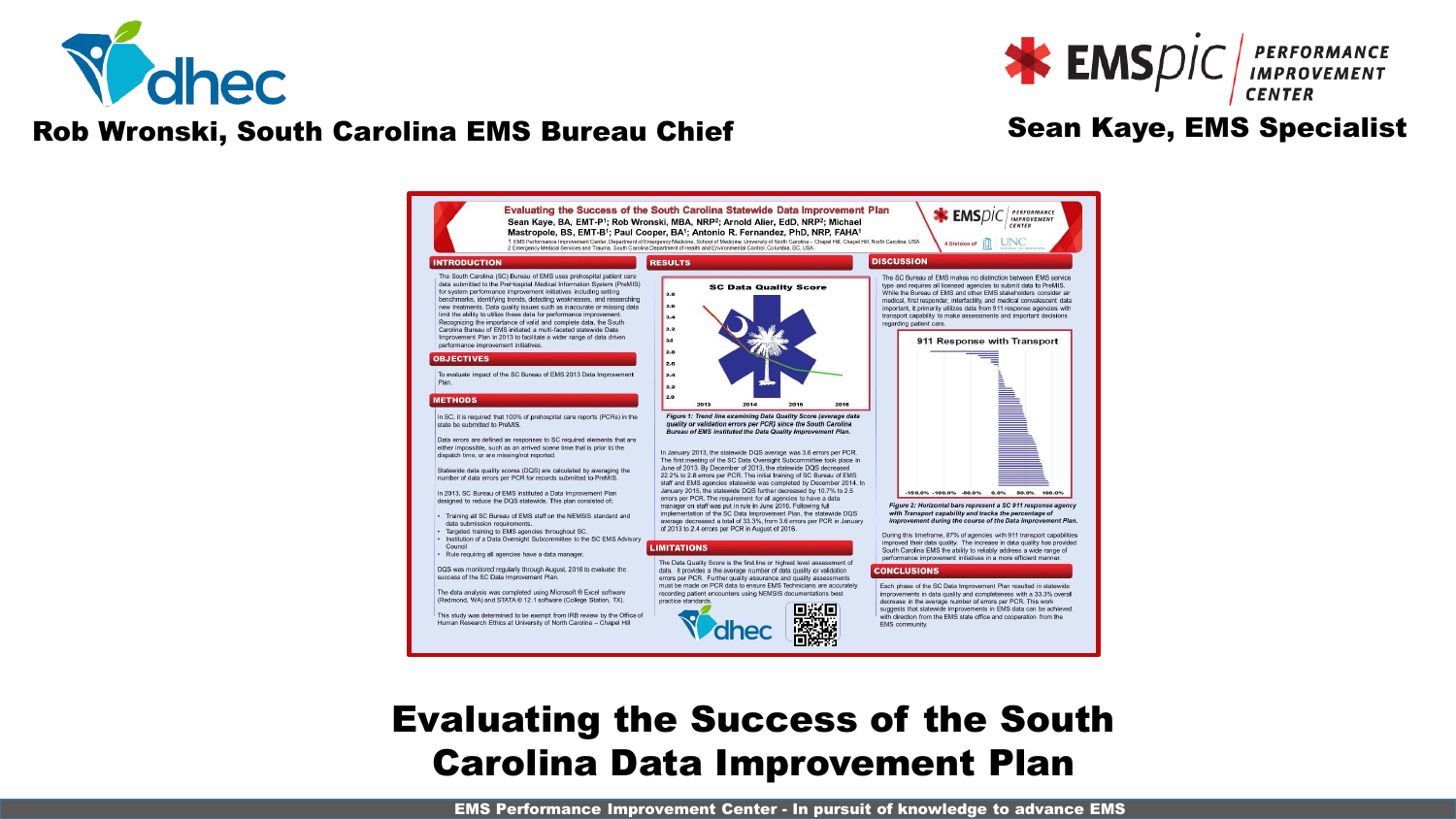

#### Rob Wronski, South Carolina EMS Bureau Chief Sean Kaye, EMS Specialist

**EMS**DIC **PERFORMANCE** 



## Evaluating the Success of the South Carolina Data Improvement Plan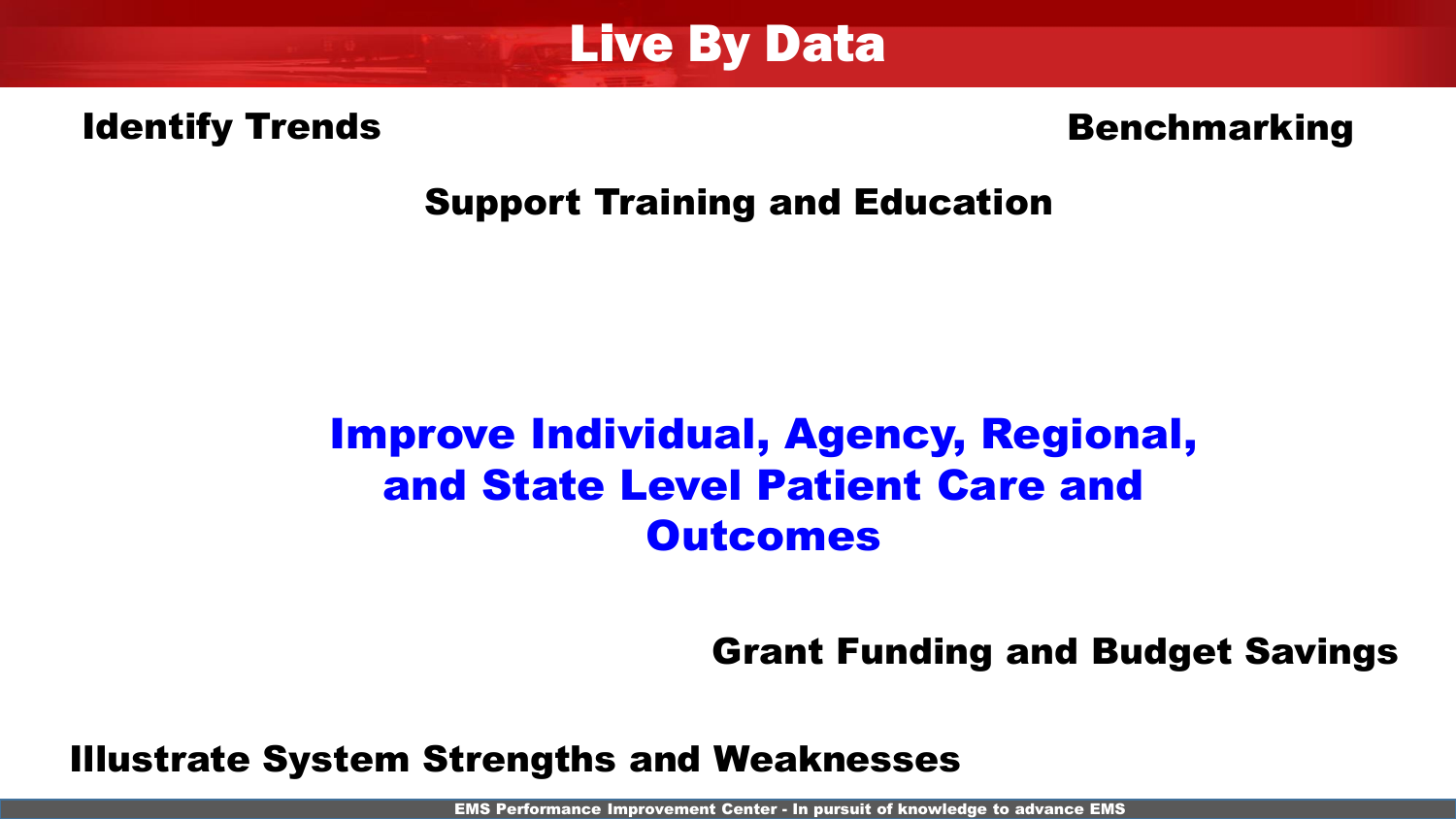

#### Identify Trends

#### Benchmarking

#### Support Training and Education

## Improve Individual, Agency, Regional, and State Level Patient Care and **Outcomes**

Grant Funding and Budget Savings

Illustrate System Strengths and Weaknesses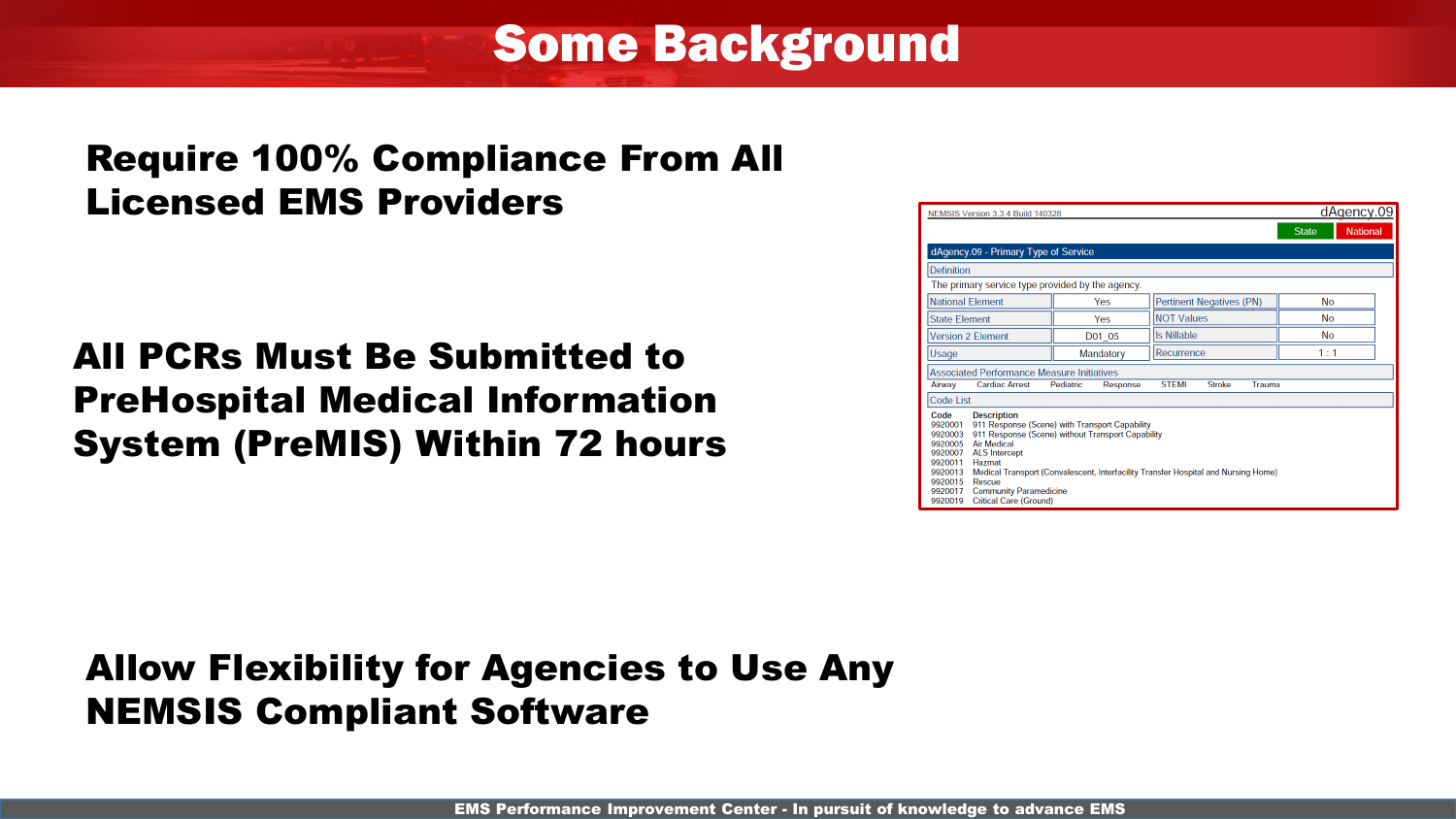Some Background

#### Require 100% Compliance From All Licensed EMS Providers

## All PCRs Must Be Submitted to PreHospital Medical Information System (PreMIS) Within 72 hours

| NEMSIS Version 3.3.4 Build 140328                                                                                                                                                                                                                                                                                                                                                                                                                              |                       |                                  | dAgency.09                      |  |
|----------------------------------------------------------------------------------------------------------------------------------------------------------------------------------------------------------------------------------------------------------------------------------------------------------------------------------------------------------------------------------------------------------------------------------------------------------------|-----------------------|----------------------------------|---------------------------------|--|
|                                                                                                                                                                                                                                                                                                                                                                                                                                                                |                       |                                  | <b>National</b><br><b>State</b> |  |
| dAgency.09 - Primary Type of Service                                                                                                                                                                                                                                                                                                                                                                                                                           |                       |                                  |                                 |  |
| <b>Definition</b>                                                                                                                                                                                                                                                                                                                                                                                                                                              |                       |                                  |                                 |  |
| The primary service type provided by the agency.                                                                                                                                                                                                                                                                                                                                                                                                               |                       |                                  |                                 |  |
| <b>National Element</b>                                                                                                                                                                                                                                                                                                                                                                                                                                        | Yes                   | <b>Pertinent Negatives (PN)</b>  | <b>No</b>                       |  |
| <b>State Element</b>                                                                                                                                                                                                                                                                                                                                                                                                                                           | Yes                   | <b>NOT Values</b>                | <b>No</b>                       |  |
| <b>Version 2 Element</b>                                                                                                                                                                                                                                                                                                                                                                                                                                       | D01 05                | <b>Is Nillable</b>               | <b>No</b>                       |  |
| Usage                                                                                                                                                                                                                                                                                                                                                                                                                                                          | Mandatory             | Recurrence                       | 1:1                             |  |
| <b>Associated Performance Measure Initiatives</b>                                                                                                                                                                                                                                                                                                                                                                                                              |                       |                                  |                                 |  |
| <b>Cardiac Arrest</b><br>Airway                                                                                                                                                                                                                                                                                                                                                                                                                                | Pediatric<br>Response | <b>STEMI</b><br>Trauma<br>Stroke |                                 |  |
| <b>Code List</b>                                                                                                                                                                                                                                                                                                                                                                                                                                               |                       |                                  |                                 |  |
| Code<br><b>Description</b><br>911 Response (Scene) with Transport Capability<br>9920001<br>911 Response (Scene) without Transport Capability<br>9920003<br><b>Air Medical</b><br>9920005<br><b>ALS</b> Intercept<br>9920007<br>9920011<br>Hazmat<br>Medical Transport (Convalescent, Interfacility Transfer Hospital and Nursing Home)<br>9920013<br>9920015<br>Rescue<br><b>Community Paramedicine</b><br>9920017<br><b>Critical Care (Ground)</b><br>9920019 |                       |                                  |                                 |  |

## Allow Flexibility for Agencies to Use Any NEMSIS Compliant Software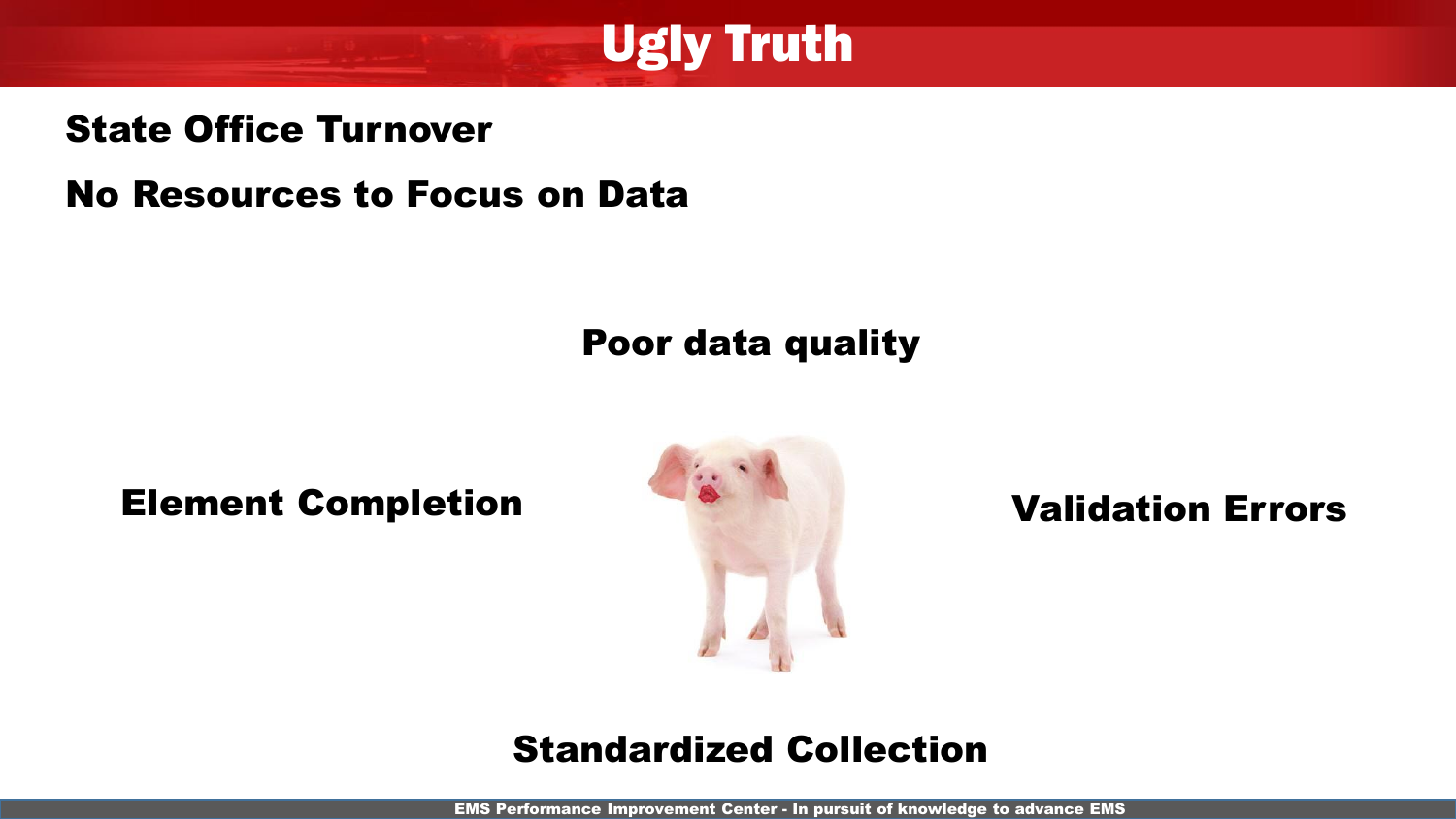

#### State Office Turnover

No Resources to Focus on Data

## Poor data quality

Element Completion **Element Completion** 



#### Standardized Collection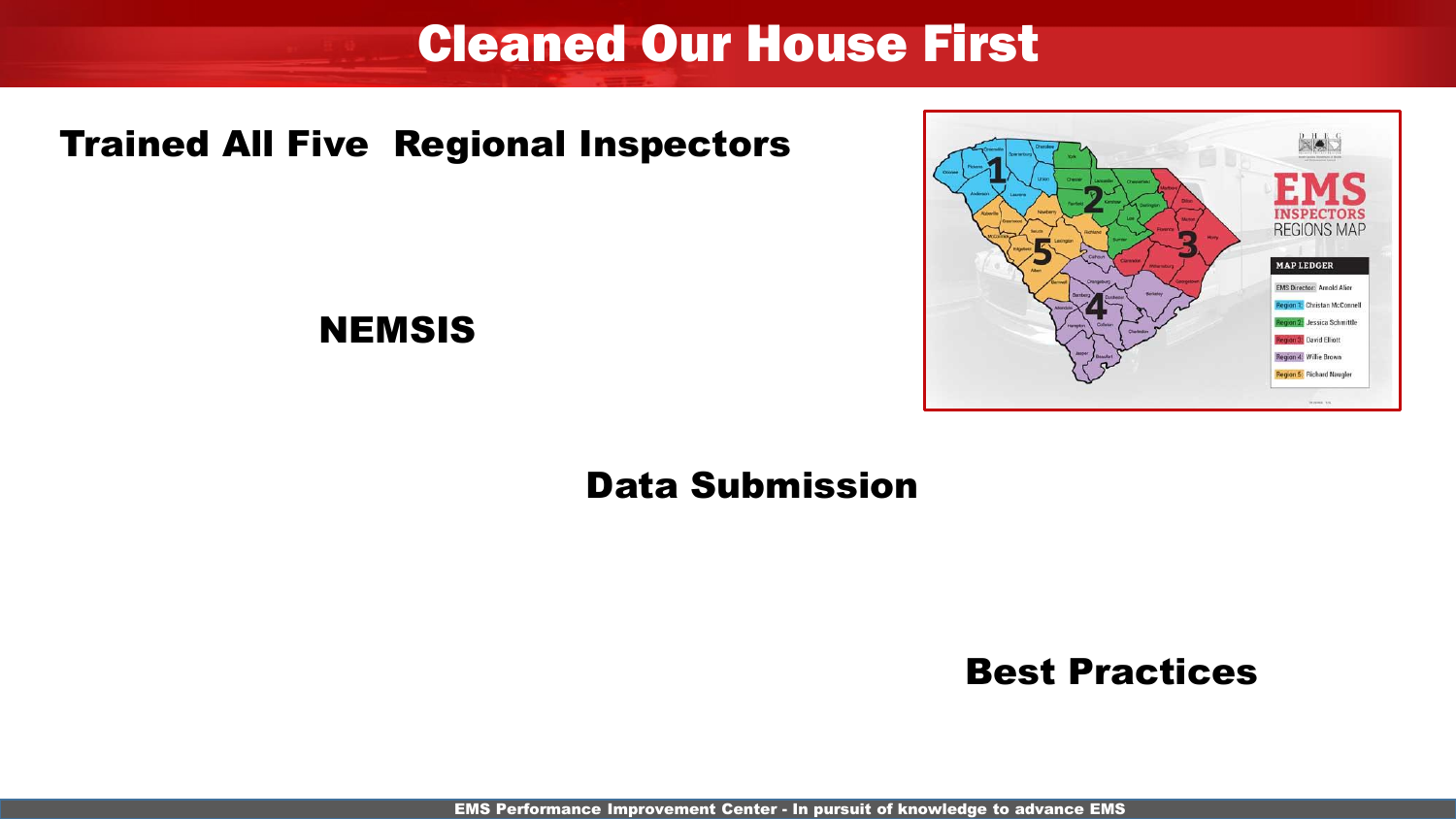# Cleaned Our House First

#### Trained All Five Regional Inspectors



#### NEMSIS

## Data Submission

#### Best Practices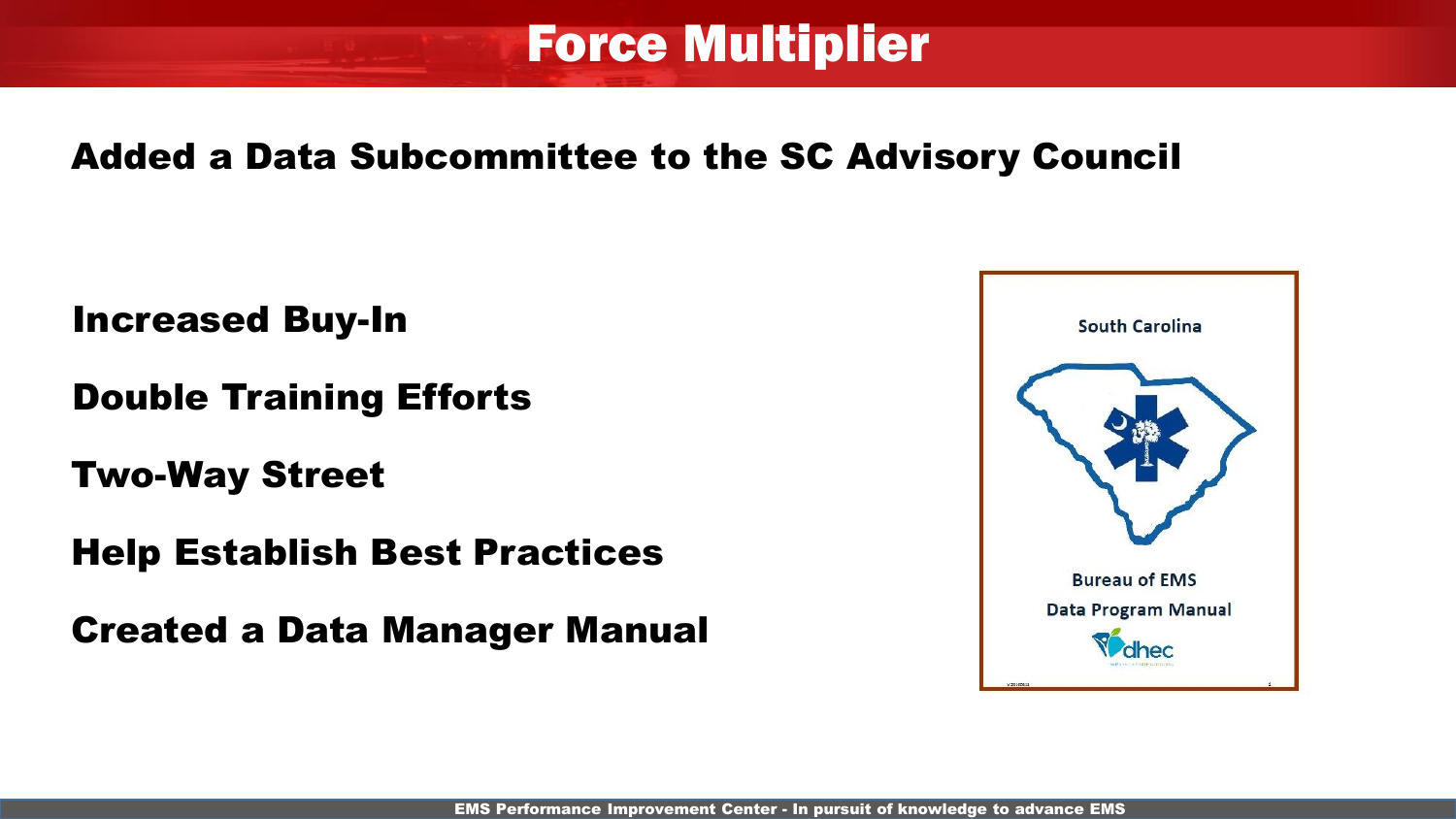# Force Multiplier

## Added a Data Subcommittee to the SC Advisory Council

Increased Buy-In

Double Training Efforts

Two-Way Street

Help Establish Best Practices

Created a Data Manager Manual

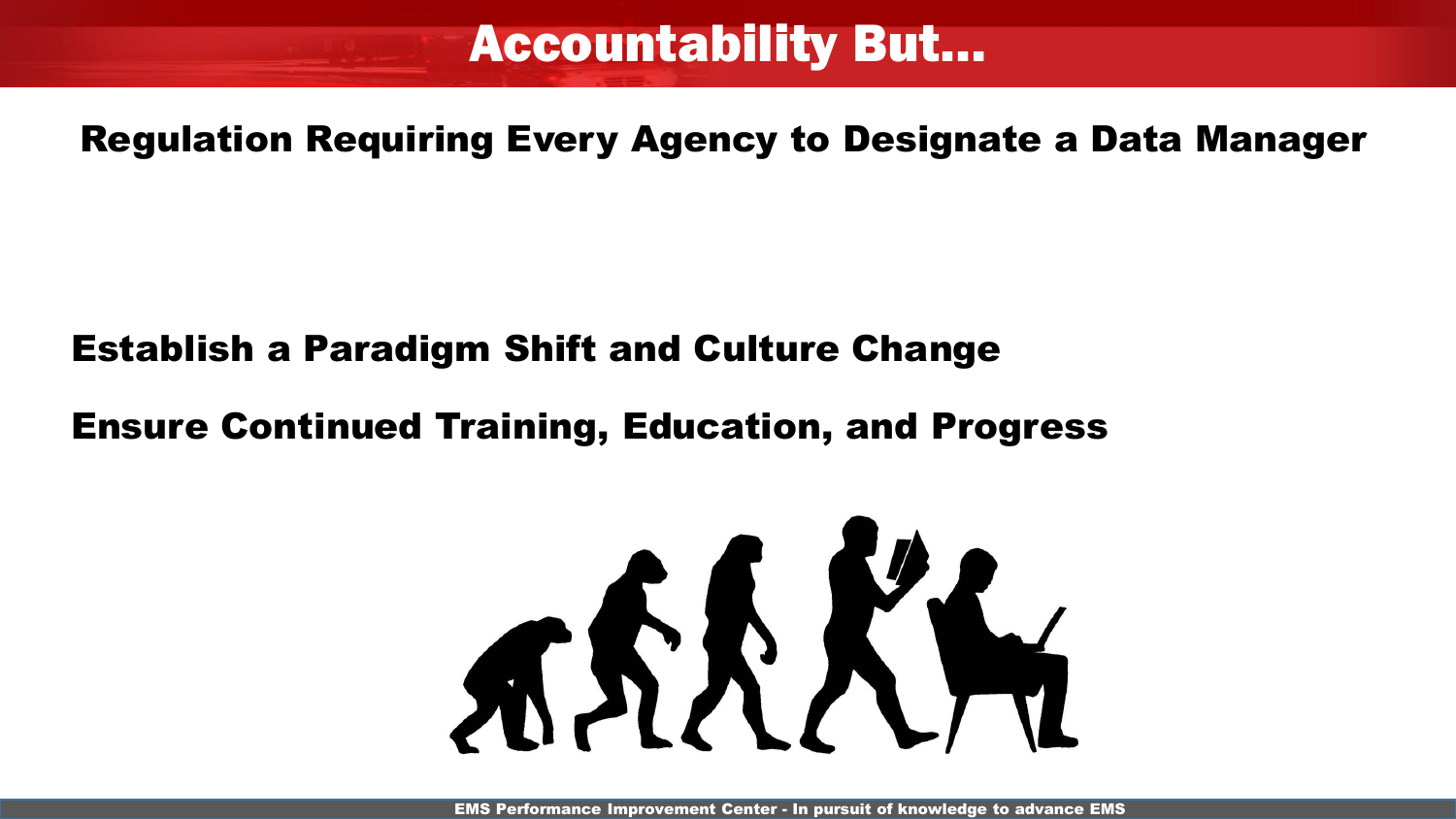# Accountability But…

Regulation Requiring Every Agency to Designate a Data Manager

## Establish a Paradigm Shift and Culture Change

## Ensure Continued Training, Education, and Progress

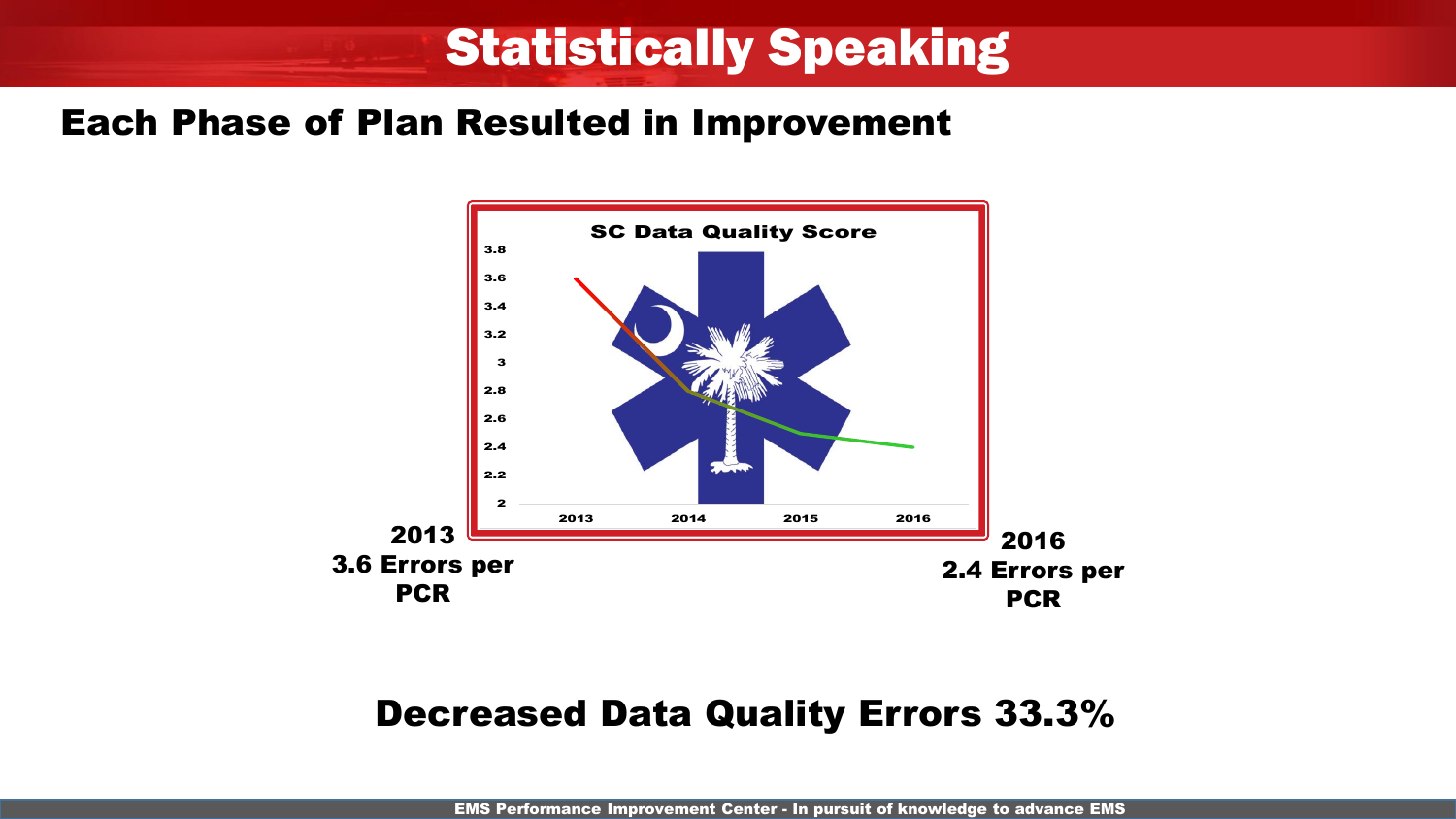# Statistically Speaking

#### Each Phase of Plan Resulted in Improvement



#### Decreased Data Quality Errors 33.3%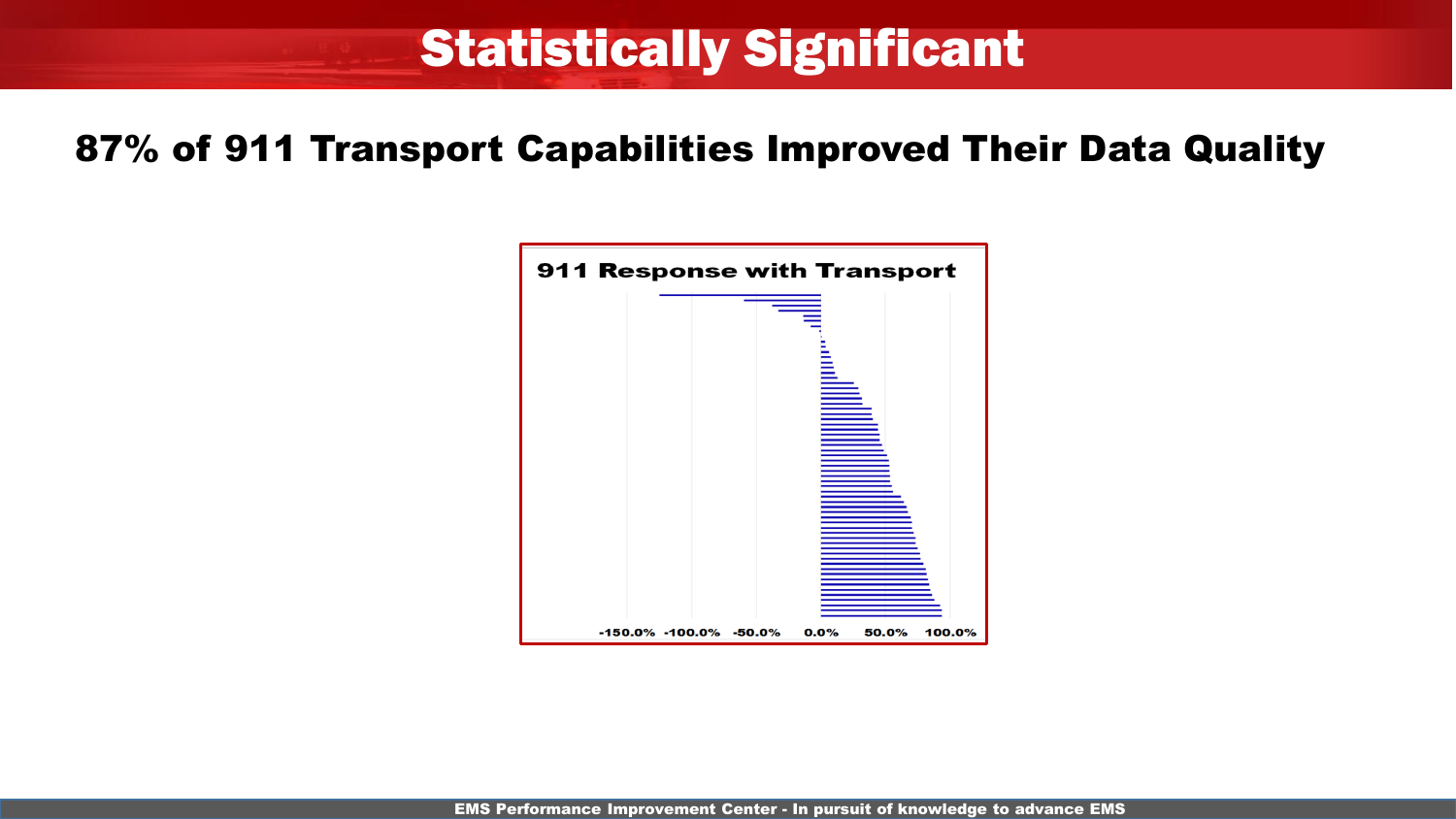# Statistically Significant

#### 87% of 911 Transport Capabilities Improved Their Data Quality

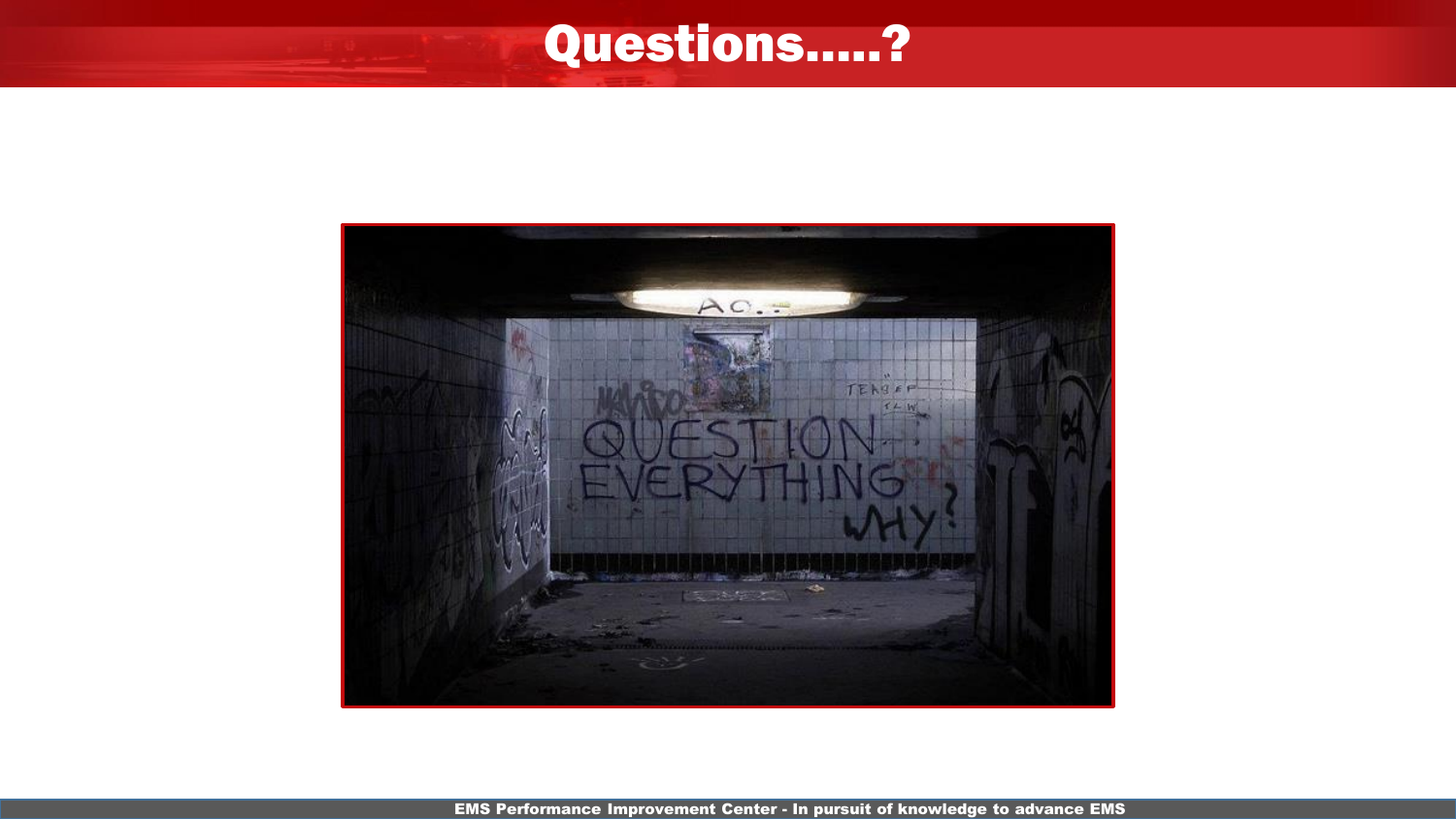# Questions…..?